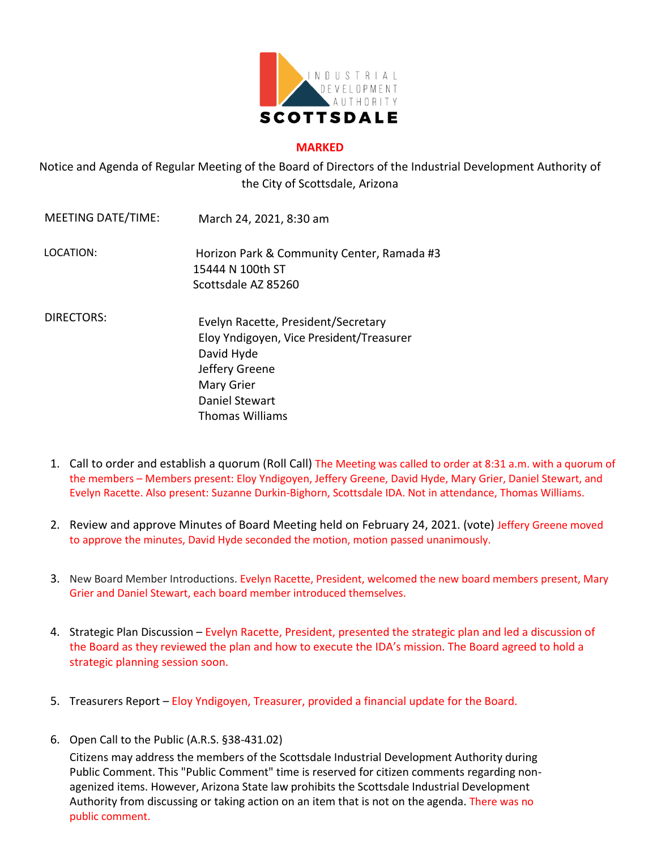

## **MARKED**

Notice and Agenda of Regular Meeting of the Board of Directors of the Industrial Development Authority of the City of Scottsdale, Arizona

- MEETING DATE/TIME: March 24, 2021, 8:30 am LOCATION: Horizon Park & Community Center, Ramada #3 15444 N 100th ST Scottsdale AZ 85260 DIRECTORS: Evelyn Racette, President/Secretary Eloy Yndigoyen, Vice President/Treasurer David Hyde Jeffery Greene Mary Grier Daniel Stewart Thomas Williams
	- 1. Call to order and establish a quorum (Roll Call) The Meeting was called to order at 8:31 a.m. with a quorum of the members – Members present: Eloy Yndigoyen, Jeffery Greene, David Hyde, Mary Grier, Daniel Stewart, and Evelyn Racette. Also present: Suzanne Durkin-Bighorn, Scottsdale IDA. Not in attendance, Thomas Williams.
	- 2. Review and approve Minutes of Board Meeting held on February 24, 2021. (vote) Jeffery Greene moved to approve the minutes, David Hyde seconded the motion, motion passed unanimously.
	- 3. New Board Member Introductions. Evelyn Racette, President, welcomed the new board members present, Mary Grier and Daniel Stewart, each board member introduced themselves.
	- 4. Strategic Plan Discussion Evelyn Racette, President, presented the strategic plan and led a discussion of the Board as they reviewed the plan and how to execute the IDA's mission. The Board agreed to hold a strategic planning session soon.
	- 5. Treasurers Report Eloy Yndigoyen, Treasurer, provided a financial update for the Board.
	- 6. Open Call to the Public (A.R.S. §38-431.02)

Citizens may address the members of the Scottsdale Industrial Development Authority during Public Comment. This "Public Comment" time is reserved for citizen comments regarding nonagenized items. However, Arizona State law prohibits the Scottsdale Industrial Development Authority from discussing or taking action on an item that is not on the agenda. There was no public comment.